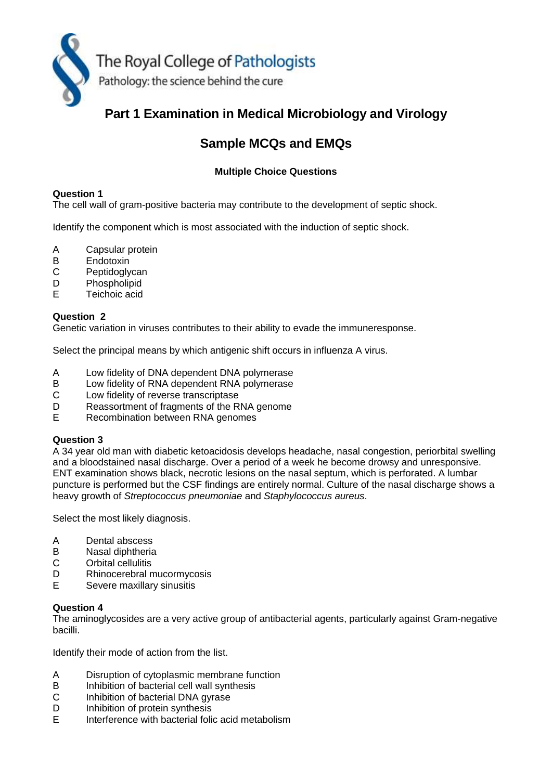

# **Part 1 Examination in Medical Microbiology and Virology**

# **Sample MCQs and EMQs**

# **Multiple Choice Questions**

## **Question 1**

The cell wall of gram-positive bacteria may contribute to the development of septic shock.

Identify the component which is most associated with the induction of septic shock.

- A Capsular protein
- B Endotoxin<br>C Peptidogly
- Peptidoglycan
- D Phospholipid
- E Teichoic acid

## **Question 2**

Genetic variation in viruses contributes to their ability to evade the immuneresponse.

Select the principal means by which antigenic shift occurs in influenza A virus.

- A Low fidelity of DNA dependent DNA polymerase
- B Low fidelity of RNA dependent RNA polymerase
- C Low fidelity of reverse transcriptase
- D Reassortment of fragments of the RNA genome<br>E Recombination between RNA genomes
- E Recombination between RNA genomes

#### **Question 3**

A 34 year old man with diabetic ketoacidosis develops headache, nasal congestion, periorbital swelling and a bloodstained nasal discharge. Over a period of a week he become drowsy and unresponsive. ENT examination shows black, necrotic lesions on the nasal septum, which is perforated. A lumbar puncture is performed but the CSF findings are entirely normal. Culture of the nasal discharge shows a heavy growth of *Streptococcus pneumoniae* and *Staphylococcus aureus*.

Select the most likely diagnosis.

- A Dental abscess<br>B Nasal diphtheria
- B Nasal diphtheria<br>C Orbital cellulitis
- **Orbital cellulitis**
- D Rhinocerebral mucormycosis
- E Severe maxillary sinusitis

#### **Question 4**

The aminoglycosides are a very active group of antibacterial agents, particularly against Gram-negative bacilli.

Identify their mode of action from the list.

- A Disruption of cytoplasmic membrane function
- B Inhibition of bacterial cell wall synthesis
- C Inhibition of bacterial DNA gyrase
- D Inhibition of protein synthesis
- E Interference with bacterial folic acid metabolism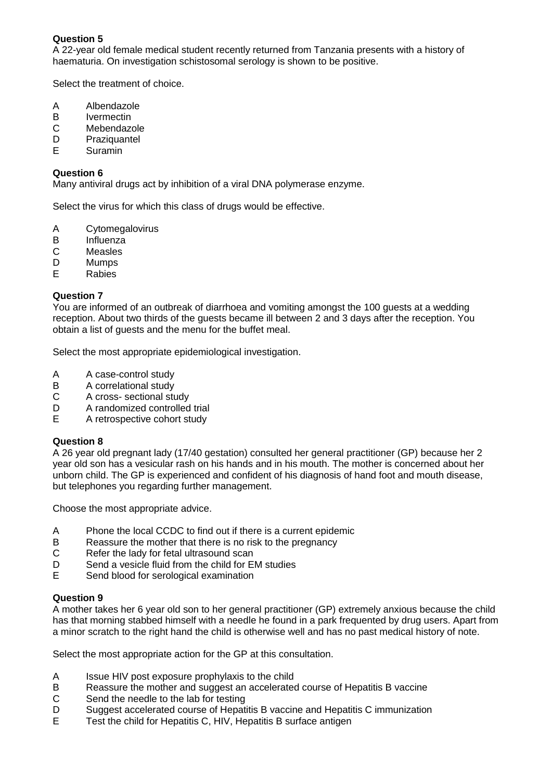A 22-year old female medical student recently returned from Tanzania presents with a history of haematuria. On investigation schistosomal serology is shown to be positive.

Select the treatment of choice.

- A Albendazole<br>B Ivermectin
- B Ivermectin<br>C Mebendaz
- C Mebendazole<br>D Praziquantel
- D Praziquantel<br>E Suramin
- **Suramin**

## **Question 6**

Many antiviral drugs act by inhibition of a viral DNA polymerase enzyme.

Select the virus for which this class of drugs would be effective.

- A Cytomegalovirus<br>B Influenza
- B Influenza<br>C Measles
- **Measles**
- D Mumps
- E Rabies

## **Question 7**

You are informed of an outbreak of diarrhoea and vomiting amongst the 100 guests at a wedding reception. About two thirds of the guests became ill between 2 and 3 days after the reception. You obtain a list of guests and the menu for the buffet meal.

Select the most appropriate epidemiological investigation.

- A A case-control study
- 
- B A correlational study<br>C A cross- sectional stu A cross- sectional study
- D A randomized controlled trial
- E A retrospective cohort study

#### **Question 8**

A 26 year old pregnant lady (17/40 gestation) consulted her general practitioner (GP) because her 2 year old son has a vesicular rash on his hands and in his mouth. The mother is concerned about her unborn child. The GP is experienced and confident of his diagnosis of hand foot and mouth disease, but telephones you regarding further management.

Choose the most appropriate advice.

- A Phone the local CCDC to find out if there is a current epidemic
- B Reassure the mother that there is no risk to the pregnancy
- C Refer the lady for fetal ultrasound scan
- D Send a vesicle fluid from the child for EM studies
- E Send blood for serological examination

#### **Question 9**

A mother takes her 6 year old son to her general practitioner (GP) extremely anxious because the child has that morning stabbed himself with a needle he found in a park frequented by drug users. Apart from a minor scratch to the right hand the child is otherwise well and has no past medical history of note.

Select the most appropriate action for the GP at this consultation.

- A Issue HIV post exposure prophylaxis to the child
- B Reassure the mother and suggest an accelerated course of Hepatitis B vaccine
- C Send the needle to the lab for testing
- D Suggest accelerated course of Hepatitis B vaccine and Hepatitis C immunization
- E Test the child for Hepatitis C, HIV, Hepatitis B surface antigen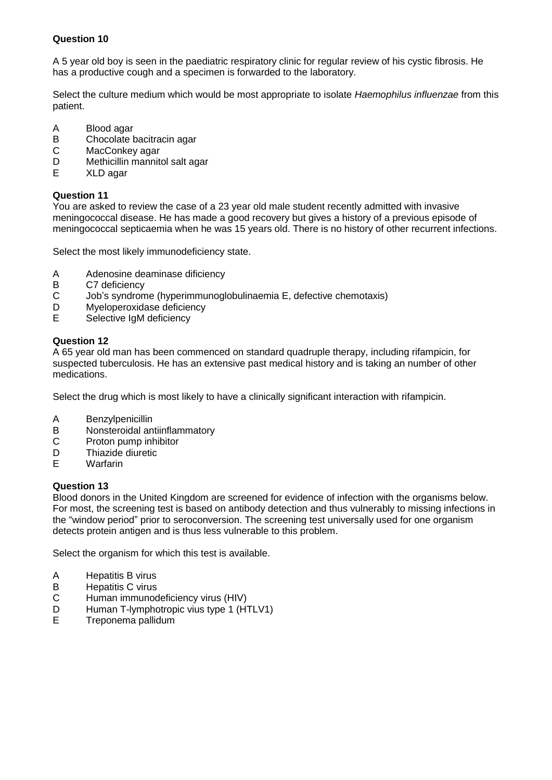A 5 year old boy is seen in the paediatric respiratory clinic for regular review of his cystic fibrosis. He has a productive cough and a specimen is forwarded to the laboratory.

Select the culture medium which would be most appropriate to isolate *Haemophilus influenzae* from this patient.

- A Blood agar<br>B Chocolate b
- B Chocolate bacitracin agar<br>C MacConkey agar
- C MacConkey agar<br>D Methicillin mannit
- D Methicillin mannitol salt agar<br>E XLD agar
- E XLD agar

## **Question 11**

You are asked to review the case of a 23 year old male student recently admitted with invasive meningococcal disease. He has made a good recovery but gives a history of a previous episode of meningococcal septicaemia when he was 15 years old. There is no history of other recurrent infections.

Select the most likely immunodeficiency state.

- A Adenosine deaminase dificiency<br>B C7 deficiency
- B C7 deficiency<br>C Job's syndrom
- Job's syndrome (hyperimmunoglobulinaemia E, defective chemotaxis)
- D Myeloperoxidase deficiency
- E Selective IgM deficiency

## **Question 12**

A 65 year old man has been commenced on standard quadruple therapy, including rifampicin, for suspected tuberculosis. He has an extensive past medical history and is taking an number of other medications.

Select the drug which is most likely to have a clinically significant interaction with rifampicin.

- A Benzylpenicillin
- B Nonsteroidal antiinflammatory
- C Proton pump inhibitor
- D Thiazide diuretic
- E Warfarin

#### **Question 13**

Blood donors in the United Kingdom are screened for evidence of infection with the organisms below. For most, the screening test is based on antibody detection and thus vulnerably to missing infections in the "window period" prior to seroconversion. The screening test universally used for one organism detects protein antigen and is thus less vulnerable to this problem.

Select the organism for which this test is available.

- A Hepatitis B virus
- B Hepatitis C virus
- C Human immunodeficiency virus (HIV)<br>D Human T-Ivmphotropic vius type 1 (HT
- D Human T-lymphotropic vius type 1 (HTLV1)<br>E Treponema pallidum
- E Treponema pallidum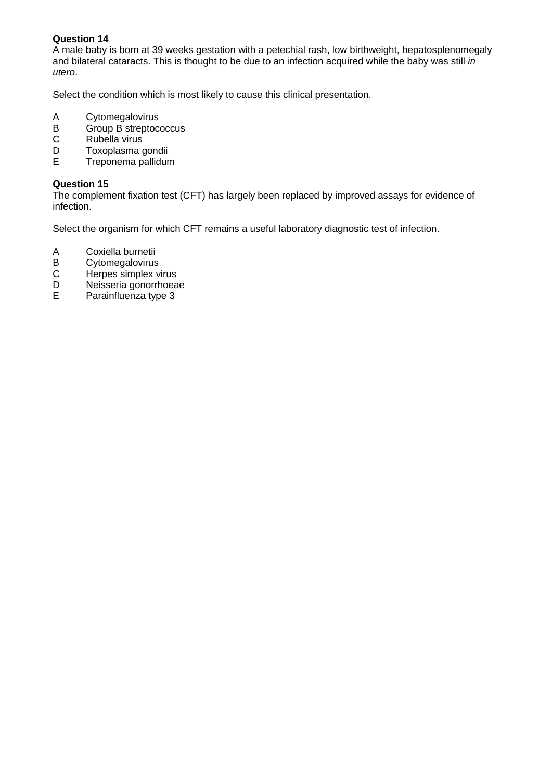A male baby is born at 39 weeks gestation with a petechial rash, low birthweight, hepatosplenomegaly and bilateral cataracts. This is thought to be due to an infection acquired while the baby was still *in utero*.

Select the condition which is most likely to cause this clinical presentation.

- A Cytomegalovirus<br>B Group B streptoce
- B Group B streptococcus<br>C Rubella virus
- C Rubella virus<br>D Toxoplasma d
- D Toxoplasma gondii<br>E Treponema pallidur
- E Treponema pallidum

## **Question 15**

The complement fixation test (CFT) has largely been replaced by improved assays for evidence of infection.

Select the organism for which CFT remains a useful laboratory diagnostic test of infection.

- A Coxiella burnetii<br>B Cytomegalovirus
- B Cytomegalovirus<br>C Herpes simplex v
- C Herpes simplex virus<br>D Neisseria gonorrhoea
- D Neisseria gonorrhoeae<br>E Parainfluenza type 3
- Parainfluenza type 3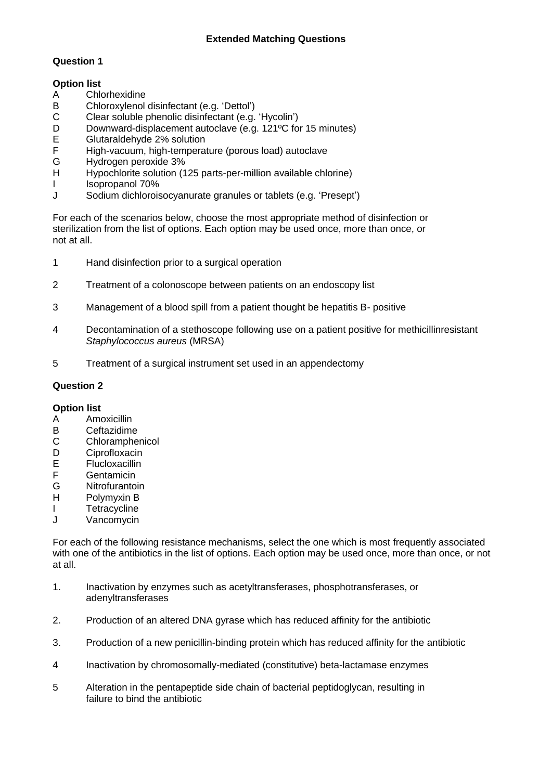# **Extended Matching Questions**

## **Question 1**

## **Option list**

- 
- A Chlorhexidine<br>B Chloroxylenol B Chloroxylenol disinfectant (e.g. 'Dettol')<br>C Clear soluble phenolic disinfectant (e.g.
- C Clear soluble phenolic disinfectant (e.g. 'Hycolin')<br>D Downward-displacement autoclave (e.g. 121°C for
- D Downward-displacement autoclave (e.g. 121°C for 15 minutes)<br>E Glutaraldehyde 2% solution
- E Glutaraldehyde 2% solution<br>F High-vacuum, high-temperat
- F High-vacuum, high-temperature (porous load) autoclave
- G Hydrogen peroxide 3%<br>H Hypochlorite solution (1
- Hypochlorite solution (125 parts-per-million available chlorine)
- I Isopropanol 70%
- J Sodium dichloroisocyanurate granules or tablets (e.g. 'Presept')

For each of the scenarios below, choose the most appropriate method of disinfection or sterilization from the list of options. Each option may be used once, more than once, or not at all.

- 1 Hand disinfection prior to a surgical operation
- 2 Treatment of a colonoscope between patients on an endoscopy list
- 3 Management of a blood spill from a patient thought be hepatitis B- positive
- 4 Decontamination of a stethoscope following use on a patient positive for methicillinresistant *Staphylococcus aureus* (MRSA)
- 5 Treatment of a surgical instrument set used in an appendectomy

## **Question 2**

#### **Option list**

- A Amoxicillin
- B Ceftazidime
- C Chloramphenicol
- D Ciprofloxacin
- E Flucloxacillin
- F Gentamicin<br>G Nitrofuranto
- **Nitrofurantoin**
- H Polymyxin B
- I Tetracycline
- J Vancomycin

For each of the following resistance mechanisms, select the one which is most frequently associated with one of the antibiotics in the list of options. Each option may be used once, more than once, or not at all.

- 1. Inactivation by enzymes such as acetyltransferases, phosphotransferases, or adenyltransferases
- 2. Production of an altered DNA gyrase which has reduced affinity for the antibiotic
- 3. Production of a new penicillin-binding protein which has reduced affinity for the antibiotic
- 4 Inactivation by chromosomally-mediated (constitutive) beta-lactamase enzymes
- 5 Alteration in the pentapeptide side chain of bacterial peptidoglycan, resulting in failure to bind the antibiotic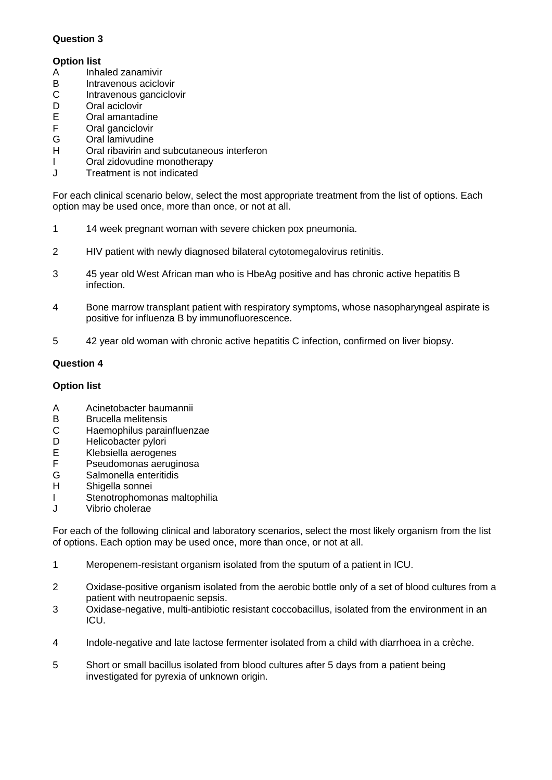# **Option list**

- A Inhaled zanamivir
- B Intravenous aciclovir<br>C Intravenous ganciclo
- C Intravenous ganciclovir<br>D Oral aciclovir
- D Oral aciclovir<br>E Oral amantac
- E Oral amantadine<br>F Oral ganciclovir
- F Oral ganciclovir<br>G Oral lamivudine
- G Oral lamivudine<br>H Oral ribavirin and
- Oral ribavirin and subcutaneous interferon
- I Oral zidovudine monotherapy
- J Treatment is not indicated

For each clinical scenario below, select the most appropriate treatment from the list of options. Each option may be used once, more than once, or not at all.

- 1 14 week pregnant woman with severe chicken pox pneumonia.
- 2 HIV patient with newly diagnosed bilateral cytotomegalovirus retinitis.
- 3 45 year old West African man who is HbeAg positive and has chronic active hepatitis B infection.
- 4 Bone marrow transplant patient with respiratory symptoms, whose nasopharyngeal aspirate is positive for influenza B by immunofluorescence.
- 5 42 year old woman with chronic active hepatitis C infection, confirmed on liver biopsy.

# **Question 4**

# **Option list**

- A Acinetobacter baumannii
- B Brucella melitensis<br>C Haemophilus parai
- Haemophilus parainfluenzae
- D Helicobacter pylori
- E Klebsiella aerogenes
- F Pseudomonas aeruginosa<br>G Salmonella enteritidis
- Salmonella enteritidis
- H Shigella sonnei
- I Stenotrophomonas maltophilia
- J Vibrio cholerae

For each of the following clinical and laboratory scenarios, select the most likely organism from the list of options. Each option may be used once, more than once, or not at all.

- 1 Meropenem-resistant organism isolated from the sputum of a patient in ICU.
- 2 Oxidase-positive organism isolated from the aerobic bottle only of a set of blood cultures from a patient with neutropaenic sepsis.
- 3 Oxidase-negative, multi-antibiotic resistant coccobacillus, isolated from the environment in an ICU.
- 4 Indole-negative and late lactose fermenter isolated from a child with diarrhoea in a crèche.
- 5 Short or small bacillus isolated from blood cultures after 5 days from a patient being investigated for pyrexia of unknown origin.